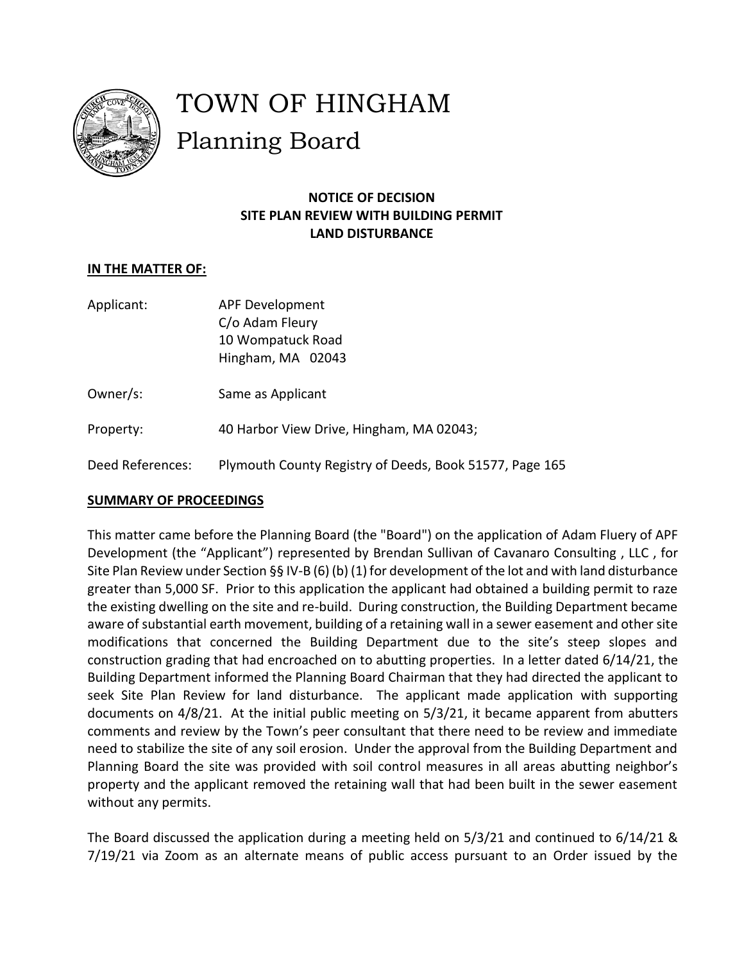

# TOWN OF HINGHAM Planning Board

## **NOTICE OF DECISION SITE PLAN REVIEW WITH BUILDING PERMIT LAND DISTURBANCE**

## **IN THE MATTER OF:**

- Applicant: APF Development C/o Adam Fleury 10 Wompatuck Road Hingham, MA 02043
- Owner/s: Same as Applicant
- Property: 40 Harbor View Drive, Hingham, MA 02043;
- Deed References: Plymouth County Registry of Deeds, Book 51577, Page 165

### **SUMMARY OF PROCEEDINGS**

This matter came before the Planning Board (the "Board") on the application of Adam Fluery of APF Development (the "Applicant") represented by Brendan Sullivan of Cavanaro Consulting , LLC , for Site Plan Review under Section §§ IV-B (6) (b) (1) for development of the lot and with land disturbance greater than 5,000 SF. Prior to this application the applicant had obtained a building permit to raze the existing dwelling on the site and re-build. During construction, the Building Department became aware of substantial earth movement, building of a retaining wall in a sewer easement and other site modifications that concerned the Building Department due to the site's steep slopes and construction grading that had encroached on to abutting properties. In a letter dated 6/14/21, the Building Department informed the Planning Board Chairman that they had directed the applicant to seek Site Plan Review for land disturbance. The applicant made application with supporting documents on 4/8/21. At the initial public meeting on 5/3/21, it became apparent from abutters comments and review by the Town's peer consultant that there need to be review and immediate need to stabilize the site of any soil erosion. Under the approval from the Building Department and Planning Board the site was provided with soil control measures in all areas abutting neighbor's property and the applicant removed the retaining wall that had been built in the sewer easement without any permits.

The Board discussed the application during a meeting held on 5/3/21 and continued to 6/14/21 & 7/19/21 via Zoom as an alternate means of public access pursuant to an Order issued by the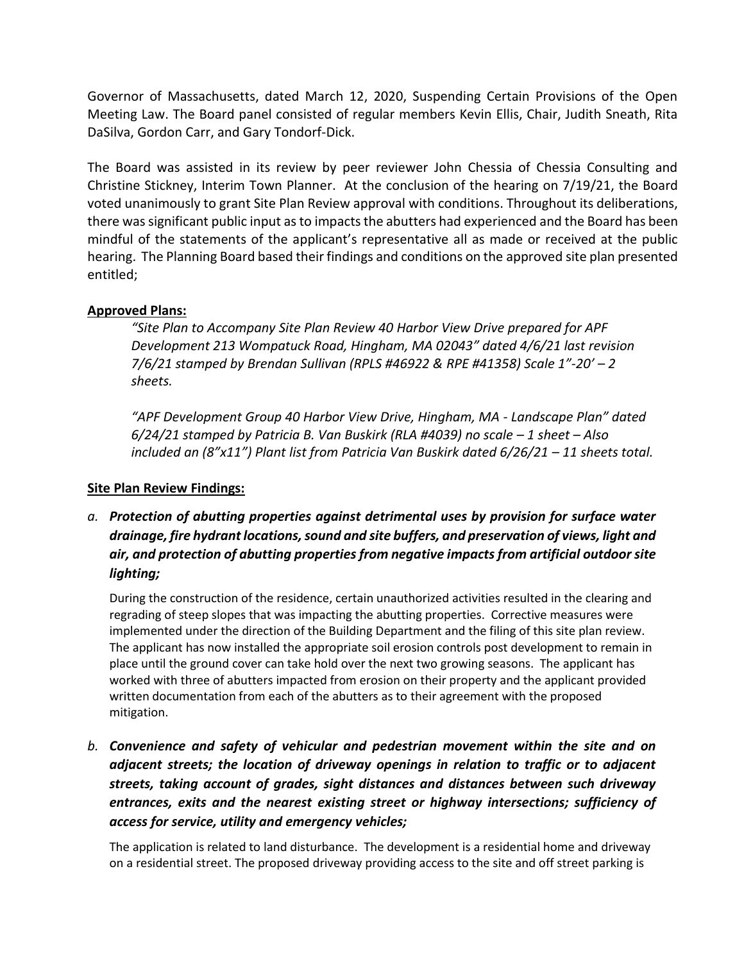Governor of Massachusetts, dated March 12, 2020, Suspending Certain Provisions of the Open Meeting Law. The Board panel consisted of regular members Kevin Ellis, Chair, Judith Sneath, Rita DaSilva, Gordon Carr, and Gary Tondorf-Dick.

The Board was assisted in its review by peer reviewer John Chessia of Chessia Consulting and Christine Stickney, Interim Town Planner. At the conclusion of the hearing on 7/19/21, the Board voted unanimously to grant Site Plan Review approval with conditions. Throughout its deliberations, there wassignificant public input as to impacts the abutters had experienced and the Board has been mindful of the statements of the applicant's representative all as made or received at the public hearing. The Planning Board based their findings and conditions on the approved site plan presented entitled;

### **Approved Plans:**

*"Site Plan to Accompany Site Plan Review 40 Harbor View Drive prepared for APF Development 213 Wompatuck Road, Hingham, MA 02043" dated 4/6/21 last revision 7/6/21 stamped by Brendan Sullivan (RPLS #46922 & RPE #41358) Scale 1"-20' – 2 sheets.*

*"APF Development Group 40 Harbor View Drive, Hingham, MA - Landscape Plan" dated 6*/24/21 stamped by Patricia B. Van Buskirk (RLA #4039) no scale – 1 sheet – Also *included an (8"x11") Plant list from Patricia Van Buskirk dated 6/26/21 – 11 sheets total.*

#### **Site Plan Review Findings:**

## *a. Protection of abutting properties against detrimental uses by provision for surface water drainage, fire hydrant locations, sound and site buffers, and preservation of views, light and air, and protection of abutting properties from negative impacts from artificial outdoor site lighting;*

During the construction of the residence, certain unauthorized activities resulted in the clearing and regrading of steep slopes that was impacting the abutting properties. Corrective measures were implemented under the direction of the Building Department and the filing of this site plan review. The applicant has now installed the appropriate soil erosion controls post development to remain in place until the ground cover can take hold over the next two growing seasons. The applicant has worked with three of abutters impacted from erosion on their property and the applicant provided written documentation from each of the abutters as to their agreement with the proposed mitigation.

*b. Convenience and safety of vehicular and pedestrian movement within the site and on adjacent streets; the location of driveway openings in relation to traffic or to adjacent streets, taking account of grades, sight distances and distances between such driveway entrances, exits and the nearest existing street or highway intersections; sufficiency of access for service, utility and emergency vehicles;*

The application is related to land disturbance. The development is a residential home and driveway on a residential street. The proposed driveway providing access to the site and off street parking is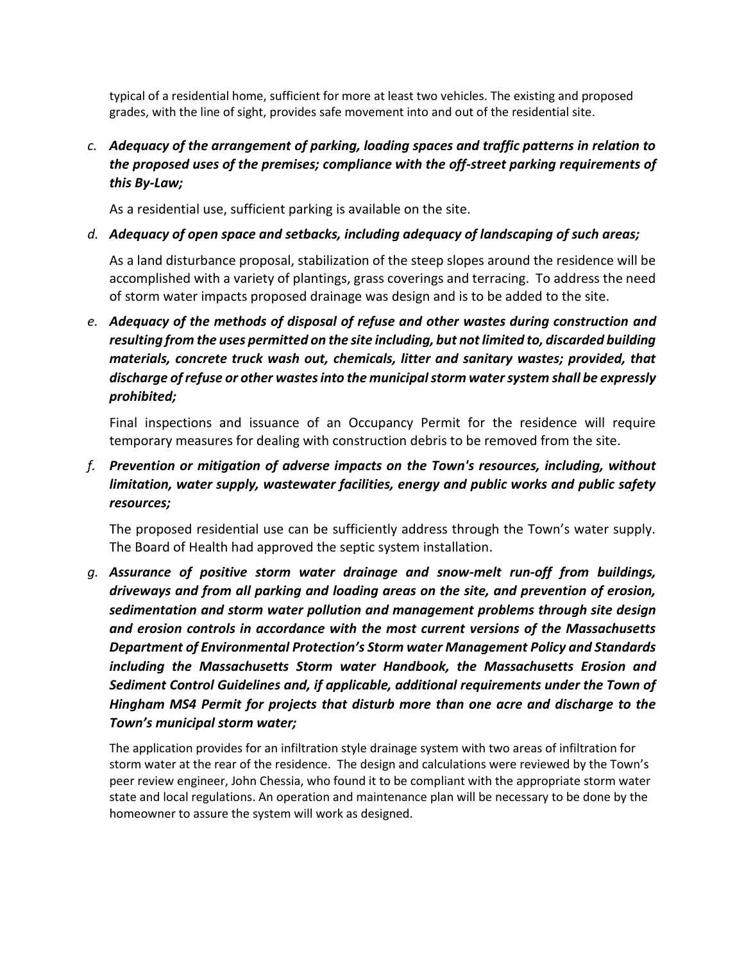typical of a residential home, sufficient for more at least two vehicles. The existing and proposed grades, with the line of sight, provides safe movement into and out of the residential site.

*c. Adequacy of the arrangement of parking, loading spaces and traffic patterns in relation to the proposed uses of the premises; compliance with the off-street parking requirements of this By-Law;*

As a residential use, sufficient parking is available on the site.

### *d. Adequacy of open space and setbacks, including adequacy of landscaping of such areas;*

As a land disturbance proposal, stabilization of the steep slopes around the residence will be accomplished with a variety of plantings, grass coverings and terracing. To address the need of storm water impacts proposed drainage was design and is to be added to the site.

*e. Adequacy of the methods of disposal of refuse and other wastes during construction and resulting from the uses permitted on the site including, but not limited to, discarded building materials, concrete truck wash out, chemicals, litter and sanitary wastes; provided, that discharge of refuse or other wastes into the municipal storm water system shall be expressly prohibited;*

Final inspections and issuance of an Occupancy Permit for the residence will require temporary measures for dealing with construction debris to be removed from the site.

## *f. Prevention or mitigation of adverse impacts on the Town's resources, including, without limitation, water supply, wastewater facilities, energy and public works and public safety resources;*

The proposed residential use can be sufficiently address through the Town's water supply. The Board of Health had approved the septic system installation.

*g. Assurance of positive storm water drainage and snow-melt run-off from buildings, driveways and from all parking and loading areas on the site, and prevention of erosion, sedimentation and storm water pollution and management problems through site design and erosion controls in accordance with the most current versions of the Massachusetts Department of Environmental Protection's Storm water Management Policy and Standards including the Massachusetts Storm water Handbook, the Massachusetts Erosion and Sediment Control Guidelines and, if applicable, additional requirements under the Town of Hingham MS4 Permit for projects that disturb more than one acre and discharge to the Town's municipal storm water;*

The application provides for an infiltration style drainage system with two areas of infiltration for storm water at the rear of the residence. The design and calculations were reviewed by the Town's peer review engineer, John Chessia, who found it to be compliant with the appropriate storm water state and local regulations. An operation and maintenance plan will be necessary to be done by the homeowner to assure the system will work as designed.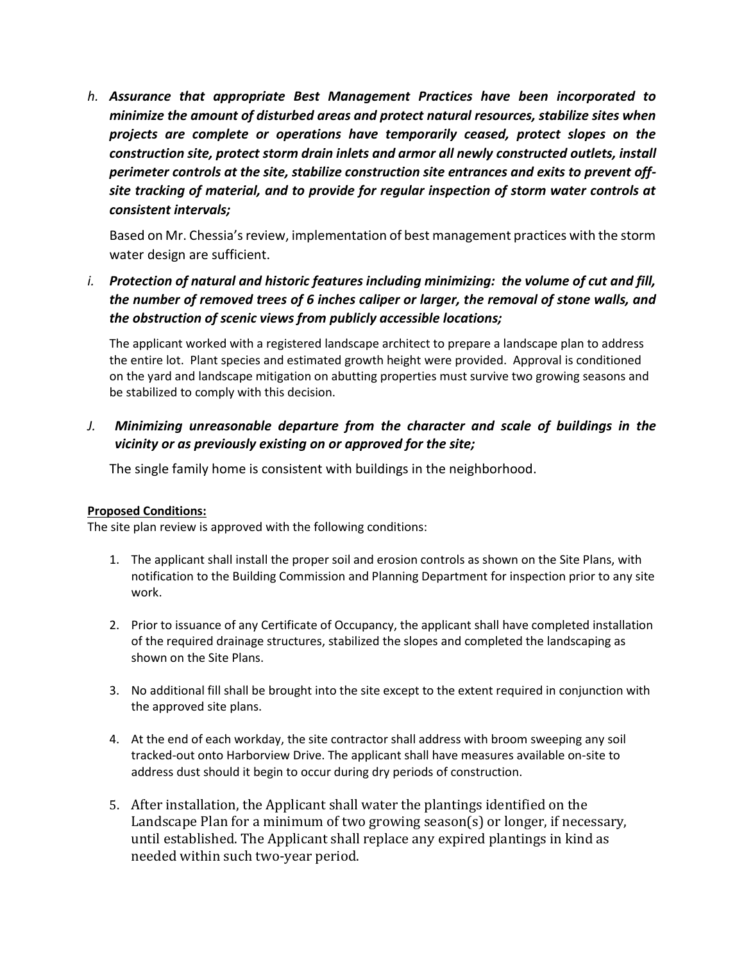*h. Assurance that appropriate Best Management Practices have been incorporated to minimize the amount of disturbed areas and protect natural resources, stabilize sites when projects are complete or operations have temporarily ceased, protect slopes on the construction site, protect storm drain inlets and armor all newly constructed outlets, install perimeter controls at the site, stabilize construction site entrances and exits to prevent offsite tracking of material, and to provide for regular inspection of storm water controls at consistent intervals;*

Based on Mr. Chessia's review, implementation of best management practices with the storm water design are sufficient.

*i. Protection of natural and historic features including minimizing: the volume of cut and fill, the number of removed trees of 6 inches caliper or larger, the removal of stone walls, and the obstruction of scenic views from publicly accessible locations;*

The applicant worked with a registered landscape architect to prepare a landscape plan to address the entire lot. Plant species and estimated growth height were provided. Approval is conditioned on the yard and landscape mitigation on abutting properties must survive two growing seasons and be stabilized to comply with this decision.

*J. Minimizing unreasonable departure from the character and scale of buildings in the vicinity or as previously existing on or approved for the site;*

The single family home is consistent with buildings in the neighborhood.

#### **Proposed Conditions:**

The site plan review is approved with the following conditions:

- 1. The applicant shall install the proper soil and erosion controls as shown on the Site Plans, with notification to the Building Commission and Planning Department for inspection prior to any site work.
- 2. Prior to issuance of any Certificate of Occupancy, the applicant shall have completed installation of the required drainage structures, stabilized the slopes and completed the landscaping as shown on the Site Plans.
- 3. No additional fill shall be brought into the site except to the extent required in conjunction with the approved site plans.
- 4. At the end of each workday, the site contractor shall address with broom sweeping any soil tracked-out onto Harborview Drive. The applicant shall have measures available on-site to address dust should it begin to occur during dry periods of construction.
- 5. After installation, the Applicant shall water the plantings identified on the Landscape Plan for a minimum of two growing season(s) or longer, if necessary, until established. The Applicant shall replace any expired plantings in kind as needed within such two-year period.